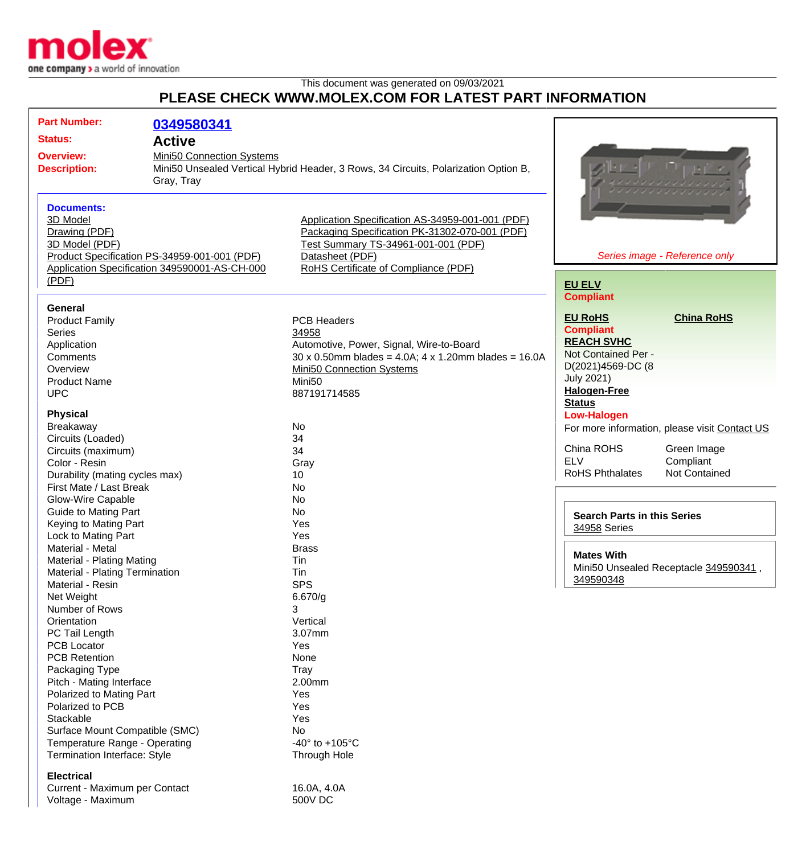

This document was generated on 09/03/2021

## **PLEASE CHECK WWW.MOLEX.COM FOR LATEST PART INFORMATION**

| <b>Part Number:</b>                                                  | 0349580341                                    |                                                                                     |                                                            |                                               |
|----------------------------------------------------------------------|-----------------------------------------------|-------------------------------------------------------------------------------------|------------------------------------------------------------|-----------------------------------------------|
|                                                                      |                                               |                                                                                     |                                                            |                                               |
| <b>Status:</b>                                                       | <b>Active</b>                                 |                                                                                     |                                                            |                                               |
| Mini50 Connection Systems<br><b>Overview:</b><br><b>Description:</b> |                                               |                                                                                     |                                                            |                                               |
|                                                                      |                                               | Mini50 Unsealed Vertical Hybrid Header, 3 Rows, 34 Circuits, Polarization Option B, |                                                            |                                               |
|                                                                      | Gray, Tray                                    |                                                                                     |                                                            |                                               |
|                                                                      |                                               |                                                                                     |                                                            |                                               |
| <b>Documents:</b>                                                    |                                               |                                                                                     |                                                            |                                               |
| 3D Model                                                             |                                               | Application Specification AS-34959-001-001 (PDF)                                    |                                                            |                                               |
| Drawing (PDF)                                                        |                                               | Packaging Specification PK-31302-070-001 (PDF)                                      |                                                            |                                               |
| 3D Model (PDF)                                                       |                                               | Test Summary TS-34961-001-001 (PDF)                                                 |                                                            |                                               |
|                                                                      | Product Specification PS-34959-001-001 (PDF)  | Datasheet (PDF)                                                                     |                                                            | Series image - Reference only                 |
|                                                                      | Application Specification 349590001-AS-CH-000 | RoHS Certificate of Compliance (PDF)                                                |                                                            |                                               |
| (PDF)                                                                |                                               |                                                                                     | <b>EU ELV</b>                                              |                                               |
|                                                                      |                                               |                                                                                     | <b>Compliant</b>                                           |                                               |
| General                                                              |                                               |                                                                                     |                                                            |                                               |
| <b>Product Family</b>                                                |                                               | <b>PCB Headers</b>                                                                  | <b>EU RoHS</b>                                             | <b>China RoHS</b>                             |
| <b>Series</b>                                                        |                                               | 34958                                                                               | <b>Compliant</b>                                           |                                               |
| Application                                                          |                                               | Automotive, Power, Signal, Wire-to-Board                                            | <b>REACH SVHC</b>                                          |                                               |
| Comments                                                             |                                               | $30 \times 0.50$ mm blades = 4.0A; 4 x 1.20mm blades = 16.0A                        | Not Contained Per -                                        |                                               |
| Overview                                                             |                                               | <b>Mini50 Connection Systems</b>                                                    | D(2021)4569-DC (8                                          |                                               |
| <b>Product Name</b>                                                  |                                               | Mini <sub>50</sub>                                                                  | <b>July 2021)</b>                                          |                                               |
| <b>UPC</b>                                                           |                                               | 887191714585                                                                        | <b>Halogen-Free</b>                                        |                                               |
| <b>Physical</b>                                                      |                                               |                                                                                     | <b>Status</b><br><b>Low-Halogen</b>                        |                                               |
| Breakaway                                                            |                                               | No                                                                                  |                                                            |                                               |
| Circuits (Loaded)                                                    |                                               | 34                                                                                  |                                                            | For more information, please visit Contact US |
| Circuits (maximum)                                                   |                                               | 34                                                                                  | China ROHS                                                 | Green Image                                   |
| Color - Resin                                                        |                                               | Gray                                                                                | <b>ELV</b>                                                 | Compliant                                     |
| Durability (mating cycles max)                                       |                                               | 10                                                                                  | <b>RoHS Phthalates</b>                                     | <b>Not Contained</b>                          |
| First Mate / Last Break                                              |                                               | No                                                                                  |                                                            |                                               |
| Glow-Wire Capable                                                    |                                               | No                                                                                  |                                                            |                                               |
| <b>Guide to Mating Part</b>                                          |                                               | No                                                                                  |                                                            |                                               |
| Keying to Mating Part                                                |                                               | Yes                                                                                 | <b>Search Parts in this Series</b>                         |                                               |
| Lock to Mating Part                                                  |                                               | Yes                                                                                 | 34958 Series                                               |                                               |
| Material - Metal                                                     |                                               | <b>Brass</b>                                                                        |                                                            |                                               |
| <b>Material - Plating Mating</b>                                     |                                               | Tin                                                                                 | <b>Mates With</b><br>Mini50 Unsealed Receptacle 349590341, |                                               |
| Material - Plating Termination                                       |                                               | Tin                                                                                 |                                                            |                                               |
| Material - Resin                                                     |                                               | <b>SPS</b>                                                                          | 349590348                                                  |                                               |
| Net Weight                                                           |                                               | 6.670/g                                                                             |                                                            |                                               |
| Number of Rows                                                       |                                               | 3                                                                                   |                                                            |                                               |
| Orientation                                                          |                                               | Vertical                                                                            |                                                            |                                               |
| PC Tail Length                                                       |                                               | 3.07mm                                                                              |                                                            |                                               |
| <b>PCB Locator</b>                                                   |                                               | Yes                                                                                 |                                                            |                                               |
| <b>PCB Retention</b>                                                 |                                               | None                                                                                |                                                            |                                               |
| Packaging Type                                                       |                                               | <b>Tray</b>                                                                         |                                                            |                                               |
| Pitch - Mating Interface                                             |                                               | 2.00mm                                                                              |                                                            |                                               |
| Polarized to Mating Part                                             |                                               | Yes                                                                                 |                                                            |                                               |
| Polarized to PCB                                                     |                                               | Yes                                                                                 |                                                            |                                               |
| Stackable                                                            |                                               | Yes                                                                                 |                                                            |                                               |
| Surface Mount Compatible (SMC)                                       |                                               | No                                                                                  |                                                            |                                               |
| Temperature Range - Operating                                        |                                               | -40 $\degree$ to +105 $\degree$ C                                                   |                                                            |                                               |
| Termination Interface: Style                                         |                                               | Through Hole                                                                        |                                                            |                                               |
| <b>Electrical</b>                                                    |                                               |                                                                                     |                                                            |                                               |
| Current - Maximum per Contact                                        |                                               | 16.0A, 4.0A                                                                         |                                                            |                                               |
| Voltage - Maximum                                                    |                                               | <b>500V DC</b>                                                                      |                                                            |                                               |
|                                                                      |                                               |                                                                                     |                                                            |                                               |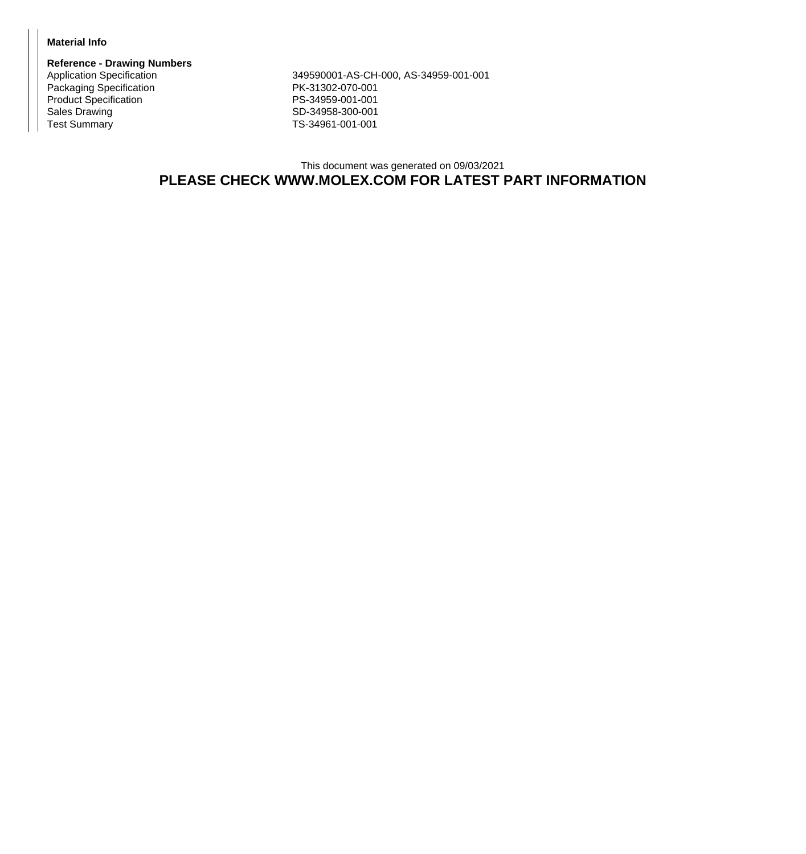## **Material Info**

**Reference - Drawing Numbers** Packaging Specification **PK-31302-070-001** Product Specification **PS-34959-001-001** Sales Drawing Sales Drawing SD-34958-300-001<br>
Test Summary SD-34961-001-001

Application Specification 349590001-AS-CH-000, AS-34959-001-001 TS-34961-001-001

## This document was generated on 09/03/2021 **PLEASE CHECK WWW.MOLEX.COM FOR LATEST PART INFORMATION**